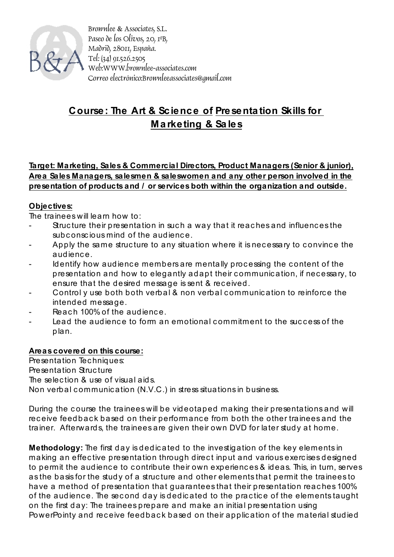

Brownlee & Associates, S.L. Paseo de los Olivos, 20, 1ºB, Madrid, 28011, España. Tel: (34) 91.526.2505 Web:WWW.brownlee-associates.com Correo electrónico:Brownleeassociates@gmail.com

## **Course: The Art & Science of Presenta tion Skills for Ma rketing & Sa les**

**Target: Marketing, Sales & Commercial Directors, Product Managers (Senior & junior), Area Sales Managers, salesmen & saleswomen and any other person involved in the presentation of products and / or services both within the organization and outside.**

## **Objectives:**

The trainees will learn how to:

- Structure their presentation in such a way that it reaches and influences the subconscious mind of the audience.
- Apply the same structure to any situation where it is necessary to convince the audienc e.
- Identify how audience members are mentally processing the content of the presentation and how to elegantly adapt their c ommunic ation, if nec essary, to ensure that the desired message is sent & rec eived.
- Control y use both both verbal & non verbal communication to reinforce the intended message.
- Reach 100% of the audience.
- Lead the audience to form an emotional commitment to the success of the plan.

## **Areas covered on this course:**

Presentation Tec hniques: Presentation Struc ture The selec tion & use of visual aids. Non verbal communication (N.V.C.) in stress situations in business.

During the course the trainees will be videotaped making their presentations and will receive feedback based on their performance from both the other trainees and the trainer. Afterwards, the trainees are given their own DVD for later stud y at home.

**Methodology:** The first day is dedic ated to the investigation of the key elements in making an effective presentation through direct input and various exercises designed to permit the audience to contribute their own experiences & ideas. This, in turn, serves as the basis for the study of a structure and other elements that permit the trainees to have a method of presentation that guarantees that their presentation reaches 100% of the audience. The second day is dedicated to the practice of the elements taught on the first day: The trainees prepare and make an initial presentation using PowerPointy and receive feedback based on their application of the material studied